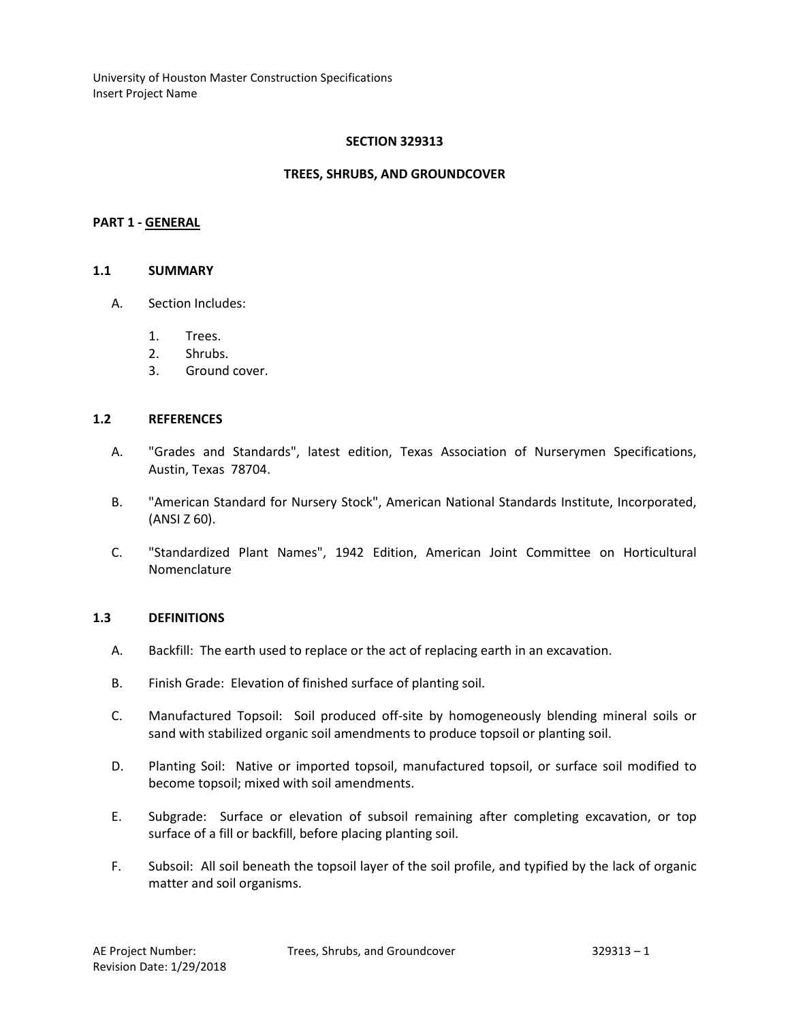## **SECTION 329313**

### **TREES, SHRUBS, AND GROUNDCOVER**

#### **PART 1 - GENERAL**

#### **1.1 SUMMARY**

- A. Section Includes:
	- 1. Trees.
	- 2. Shrubs.
	- 3. Ground cover.

#### **1.2 REFERENCES**

- A. "Grades and Standards", latest edition, Texas Association of Nurserymen Specifications, Austin, Texas 78704.
- B. "American Standard for Nursery Stock", American National Standards Institute, Incorporated, (ANSI Z 60).
- C. "Standardized Plant Names", 1942 Edition, American Joint Committee on Horticultural Nomenclature

#### **1.3 DEFINITIONS**

- A. Backfill: The earth used to replace or the act of replacing earth in an excavation.
- B. Finish Grade: Elevation of finished surface of planting soil.
- C. Manufactured Topsoil: Soil produced off-site by homogeneously blending mineral soils or sand with stabilized organic soil amendments to produce topsoil or planting soil.
- D. Planting Soil: Native or imported topsoil, manufactured topsoil, or surface soil modified to become topsoil; mixed with soil amendments.
- E. Subgrade: Surface or elevation of subsoil remaining after completing excavation, or top surface of a fill or backfill, before placing planting soil.
- F. Subsoil: All soil beneath the topsoil layer of the soil profile, and typified by the lack of organic matter and soil organisms.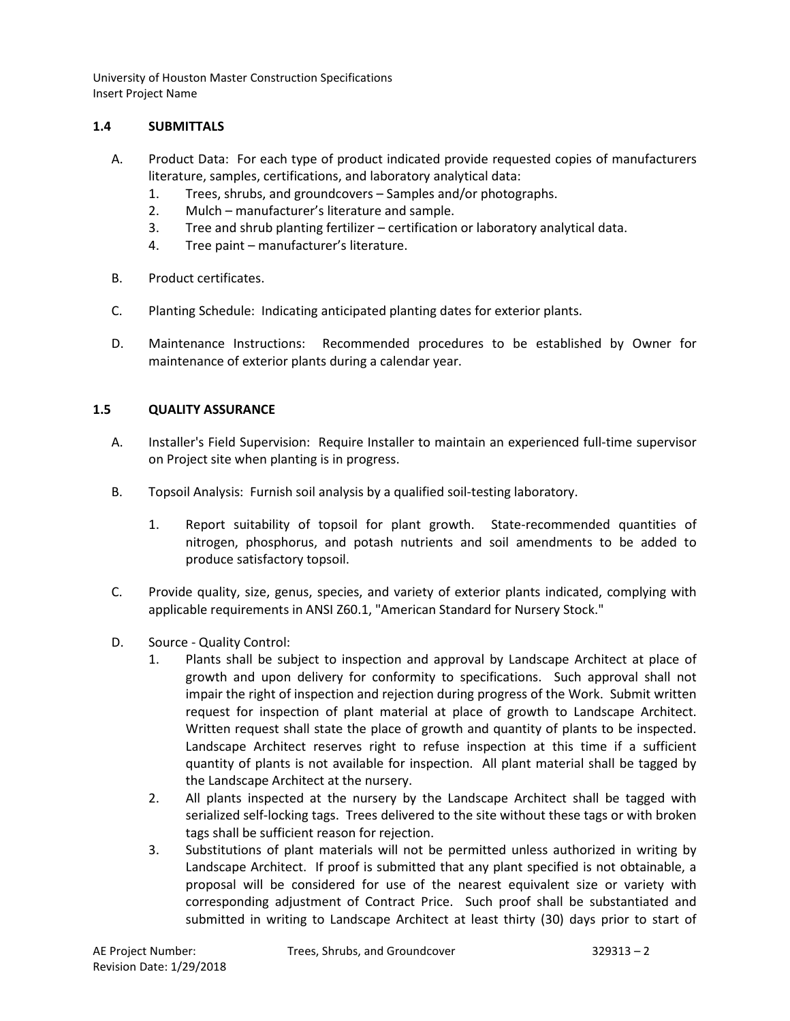# **1.4 SUBMITTALS**

- A. Product Data: For each type of product indicated provide requested copies of manufacturers literature, samples, certifications, and laboratory analytical data:
	- 1. Trees, shrubs, and groundcovers Samples and/or photographs.
	- 2. Mulch manufacturer's literature and sample.
	- 3. Tree and shrub planting fertilizer certification or laboratory analytical data.
	- 4. Tree paint manufacturer's literature.
- B. Product certificates.
- C. Planting Schedule: Indicating anticipated planting dates for exterior plants.
- D. Maintenance Instructions: Recommended procedures to be established by Owner for maintenance of exterior plants during a calendar year.

# **1.5 QUALITY ASSURANCE**

- A. Installer's Field Supervision: Require Installer to maintain an experienced full-time supervisor on Project site when planting is in progress.
- B. Topsoil Analysis: Furnish soil analysis by a qualified soil-testing laboratory.
	- 1. Report suitability of topsoil for plant growth. State-recommended quantities of nitrogen, phosphorus, and potash nutrients and soil amendments to be added to produce satisfactory topsoil.
- C. Provide quality, size, genus, species, and variety of exterior plants indicated, complying with applicable requirements in ANSI Z60.1, "American Standard for Nursery Stock."
- D. Source Quality Control:
	- 1. Plants shall be subject to inspection and approval by Landscape Architect at place of growth and upon delivery for conformity to specifications. Such approval shall not impair the right of inspection and rejection during progress of the Work. Submit written request for inspection of plant material at place of growth to Landscape Architect. Written request shall state the place of growth and quantity of plants to be inspected. Landscape Architect reserves right to refuse inspection at this time if a sufficient quantity of plants is not available for inspection. All plant material shall be tagged by the Landscape Architect at the nursery.
	- 2. All plants inspected at the nursery by the Landscape Architect shall be tagged with serialized self-locking tags. Trees delivered to the site without these tags or with broken tags shall be sufficient reason for rejection.
	- 3. Substitutions of plant materials will not be permitted unless authorized in writing by Landscape Architect. If proof is submitted that any plant specified is not obtainable, a proposal will be considered for use of the nearest equivalent size or variety with corresponding adjustment of Contract Price. Such proof shall be substantiated and submitted in writing to Landscape Architect at least thirty (30) days prior to start of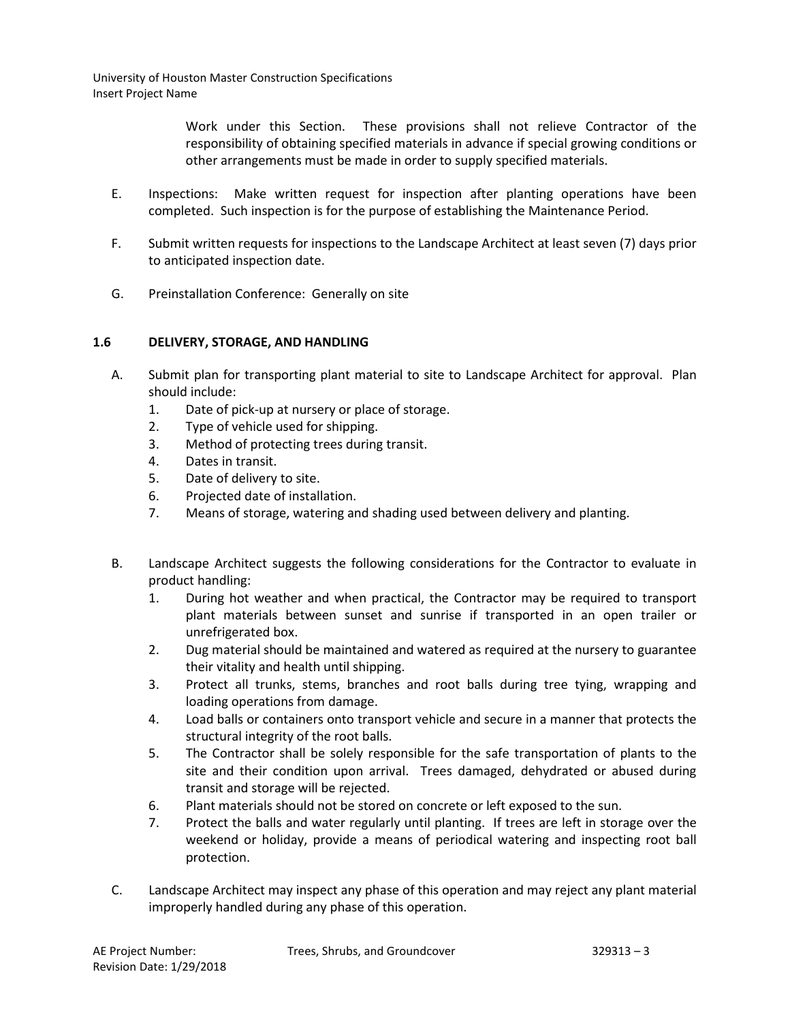> Work under this Section. These provisions shall not relieve Contractor of the responsibility of obtaining specified materials in advance if special growing conditions or other arrangements must be made in order to supply specified materials.

- E. Inspections: Make written request for inspection after planting operations have been completed. Such inspection is for the purpose of establishing the Maintenance Period.
- F. Submit written requests for inspections to the Landscape Architect at least seven (7) days prior to anticipated inspection date.
- G. Preinstallation Conference: Generally on site

# **1.6 DELIVERY, STORAGE, AND HANDLING**

- A. Submit plan for transporting plant material to site to Landscape Architect for approval. Plan should include:
	- 1. Date of pick-up at nursery or place of storage.
	- 2. Type of vehicle used for shipping.
	- 3. Method of protecting trees during transit.
	- 4. Dates in transit.
	- 5. Date of delivery to site.
	- 6. Projected date of installation.
	- 7. Means of storage, watering and shading used between delivery and planting.
- B. Landscape Architect suggests the following considerations for the Contractor to evaluate in product handling:
	- 1. During hot weather and when practical, the Contractor may be required to transport plant materials between sunset and sunrise if transported in an open trailer or unrefrigerated box.
	- 2. Dug material should be maintained and watered as required at the nursery to guarantee their vitality and health until shipping.
	- 3. Protect all trunks, stems, branches and root balls during tree tying, wrapping and loading operations from damage.
	- 4. Load balls or containers onto transport vehicle and secure in a manner that protects the structural integrity of the root balls.
	- 5. The Contractor shall be solely responsible for the safe transportation of plants to the site and their condition upon arrival. Trees damaged, dehydrated or abused during transit and storage will be rejected.
	- 6. Plant materials should not be stored on concrete or left exposed to the sun.
	- 7. Protect the balls and water regularly until planting. If trees are left in storage over the weekend or holiday, provide a means of periodical watering and inspecting root ball protection.
- C. Landscape Architect may inspect any phase of this operation and may reject any plant material improperly handled during any phase of this operation.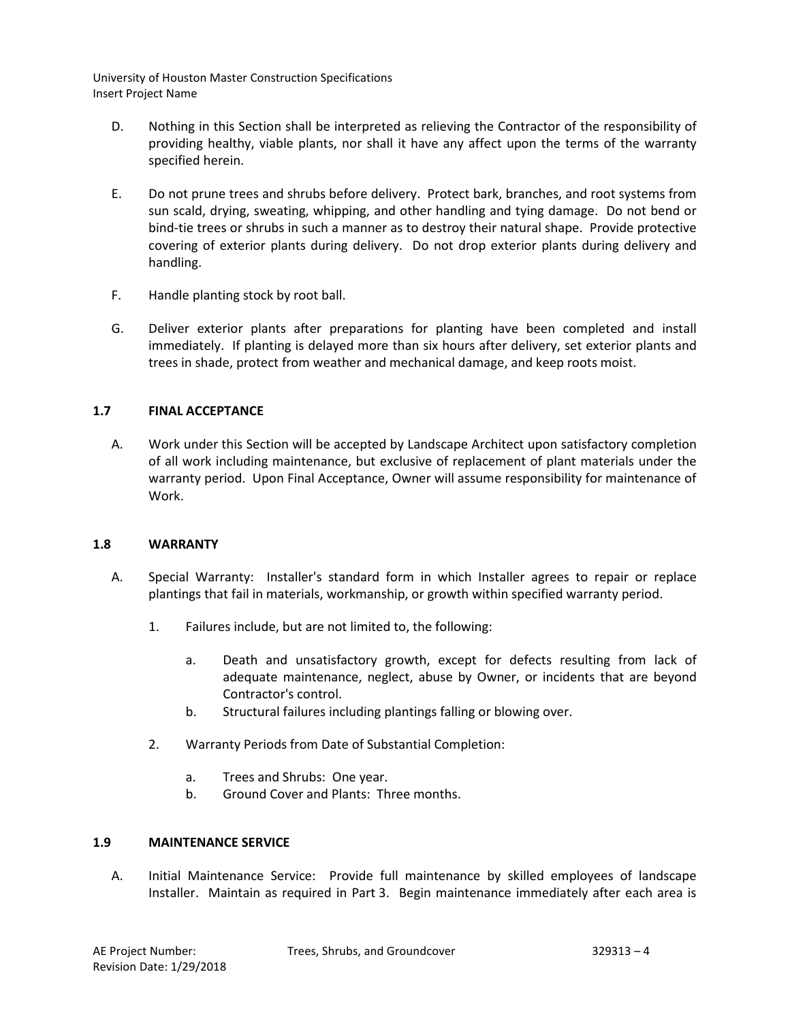- D. Nothing in this Section shall be interpreted as relieving the Contractor of the responsibility of providing healthy, viable plants, nor shall it have any affect upon the terms of the warranty specified herein.
- E. Do not prune trees and shrubs before delivery. Protect bark, branches, and root systems from sun scald, drying, sweating, whipping, and other handling and tying damage. Do not bend or bind-tie trees or shrubs in such a manner as to destroy their natural shape. Provide protective covering of exterior plants during delivery. Do not drop exterior plants during delivery and handling.
- F. Handle planting stock by root ball.
- G. Deliver exterior plants after preparations for planting have been completed and install immediately. If planting is delayed more than six hours after delivery, set exterior plants and trees in shade, protect from weather and mechanical damage, and keep roots moist.

# **1.7 FINAL ACCEPTANCE**

A. Work under this Section will be accepted by Landscape Architect upon satisfactory completion of all work including maintenance, but exclusive of replacement of plant materials under the warranty period. Upon Final Acceptance, Owner will assume responsibility for maintenance of Work.

# **1.8 WARRANTY**

- A. Special Warranty: Installer's standard form in which Installer agrees to repair or replace plantings that fail in materials, workmanship, or growth within specified warranty period.
	- 1. Failures include, but are not limited to, the following:
		- a. Death and unsatisfactory growth, except for defects resulting from lack of adequate maintenance, neglect, abuse by Owner, or incidents that are beyond Contractor's control.
		- b. Structural failures including plantings falling or blowing over.
	- 2. Warranty Periods from Date of Substantial Completion:
		- a. Trees and Shrubs: One year.
		- b. Ground Cover and Plants: Three months.

# **1.9 MAINTENANCE SERVICE**

A. Initial Maintenance Service: Provide full maintenance by skilled employees of landscape Installer. Maintain as required in Part 3. Begin maintenance immediately after each area is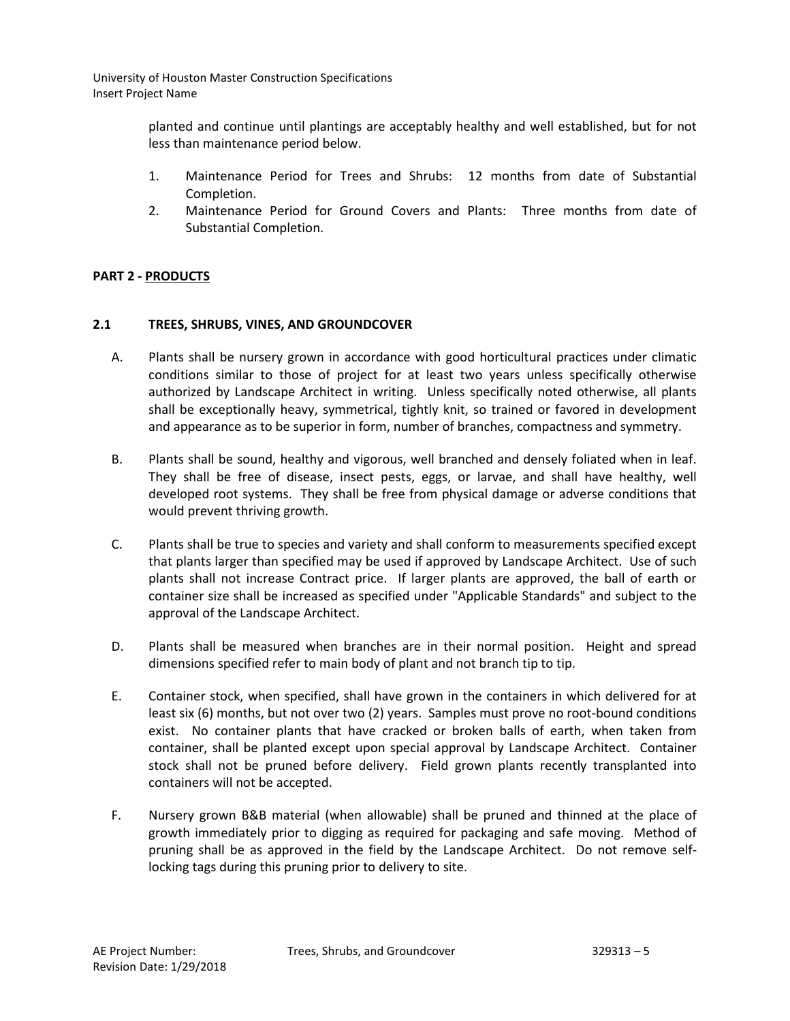> planted and continue until plantings are acceptably healthy and well established, but for not less than maintenance period below.

- 1. Maintenance Period for Trees and Shrubs: 12 months from date of Substantial Completion.
- 2. Maintenance Period for Ground Covers and Plants: Three months from date of Substantial Completion.

# **PART 2 - PRODUCTS**

# **2.1 TREES, SHRUBS, VINES, AND GROUNDCOVER**

- A. Plants shall be nursery grown in accordance with good horticultural practices under climatic conditions similar to those of project for at least two years unless specifically otherwise authorized by Landscape Architect in writing. Unless specifically noted otherwise, all plants shall be exceptionally heavy, symmetrical, tightly knit, so trained or favored in development and appearance as to be superior in form, number of branches, compactness and symmetry.
- B. Plants shall be sound, healthy and vigorous, well branched and densely foliated when in leaf. They shall be free of disease, insect pests, eggs, or larvae, and shall have healthy, well developed root systems. They shall be free from physical damage or adverse conditions that would prevent thriving growth.
- C. Plants shall be true to species and variety and shall conform to measurements specified except that plants larger than specified may be used if approved by Landscape Architect. Use of such plants shall not increase Contract price. If larger plants are approved, the ball of earth or container size shall be increased as specified under "Applicable Standards" and subject to the approval of the Landscape Architect.
- D. Plants shall be measured when branches are in their normal position. Height and spread dimensions specified refer to main body of plant and not branch tip to tip.
- E. Container stock, when specified, shall have grown in the containers in which delivered for at least six (6) months, but not over two (2) years. Samples must prove no root-bound conditions exist. No container plants that have cracked or broken balls of earth, when taken from container, shall be planted except upon special approval by Landscape Architect. Container stock shall not be pruned before delivery. Field grown plants recently transplanted into containers will not be accepted.
- F. Nursery grown B&B material (when allowable) shall be pruned and thinned at the place of growth immediately prior to digging as required for packaging and safe moving. Method of pruning shall be as approved in the field by the Landscape Architect. Do not remove selflocking tags during this pruning prior to delivery to site.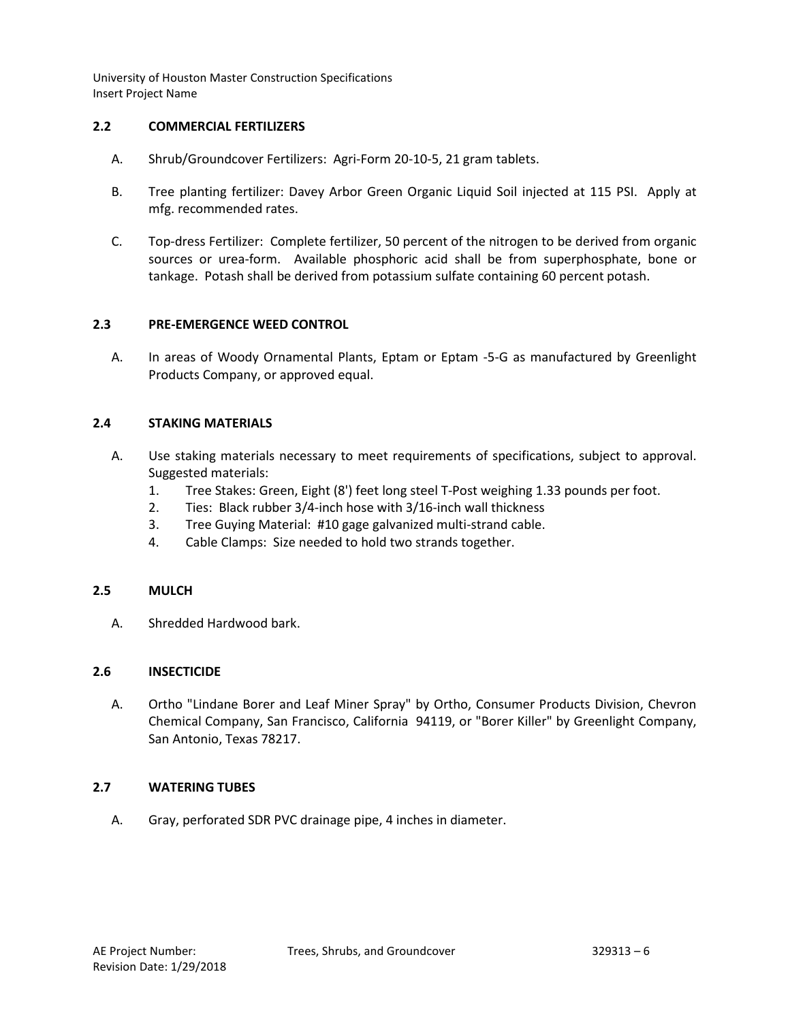### **2.2 COMMERCIAL FERTILIZERS**

- A. Shrub/Groundcover Fertilizers: Agri-Form 20-10-5, 21 gram tablets.
- B. Tree planting fertilizer: Davey Arbor Green Organic Liquid Soil injected at 115 PSI. Apply at mfg. recommended rates.
- C. Top-dress Fertilizer: Complete fertilizer, 50 percent of the nitrogen to be derived from organic sources or urea-form. Available phosphoric acid shall be from superphosphate, bone or tankage. Potash shall be derived from potassium sulfate containing 60 percent potash.

### **2.3 PRE-EMERGENCE WEED CONTROL**

A. In areas of Woody Ornamental Plants, Eptam or Eptam -5-G as manufactured by Greenlight Products Company, or approved equal.

### **2.4 STAKING MATERIALS**

- A. Use staking materials necessary to meet requirements of specifications, subject to approval. Suggested materials:
	- 1. Tree Stakes: Green, Eight (8') feet long steel T-Post weighing 1.33 pounds per foot.
	- 2. Ties: Black rubber 3/4-inch hose with 3/16-inch wall thickness
	- 3. Tree Guying Material: #10 gage galvanized multi-strand cable.
	- 4. Cable Clamps: Size needed to hold two strands together.

## **2.5 MULCH**

A. Shredded Hardwood bark.

#### **2.6 INSECTICIDE**

A. Ortho "Lindane Borer and Leaf Miner Spray" by Ortho, Consumer Products Division, Chevron Chemical Company, San Francisco, California 94119, or "Borer Killer" by Greenlight Company, San Antonio, Texas 78217.

### **2.7 WATERING TUBES**

A. Gray, perforated SDR PVC drainage pipe, 4 inches in diameter.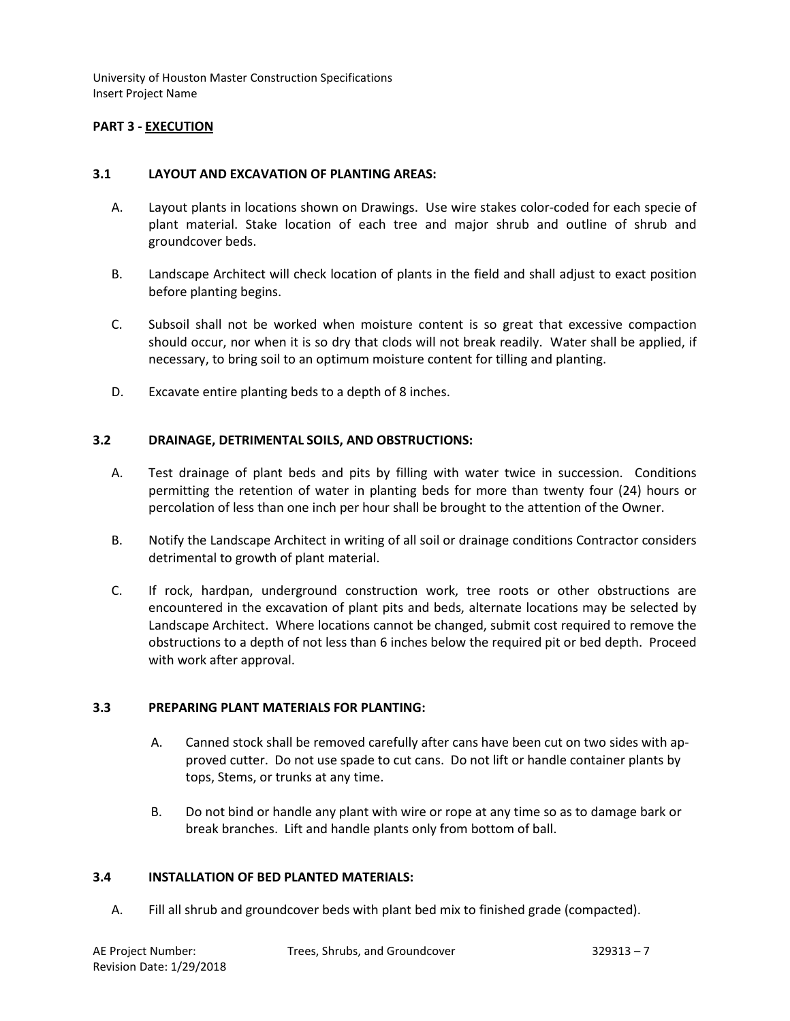# **PART 3 - EXECUTION**

#### **3.1 LAYOUT AND EXCAVATION OF PLANTING AREAS:**

- A. Layout plants in locations shown on Drawings. Use wire stakes color-coded for each specie of plant material. Stake location of each tree and major shrub and outline of shrub and groundcover beds.
- B. Landscape Architect will check location of plants in the field and shall adjust to exact position before planting begins.
- C. Subsoil shall not be worked when moisture content is so great that excessive compaction should occur, nor when it is so dry that clods will not break readily. Water shall be applied, if necessary, to bring soil to an optimum moisture content for tilling and planting.
- D. Excavate entire planting beds to a depth of 8 inches.

### **3.2 DRAINAGE, DETRIMENTAL SOILS, AND OBSTRUCTIONS:**

- A. Test drainage of plant beds and pits by filling with water twice in succession. Conditions permitting the retention of water in planting beds for more than twenty four (24) hours or percolation of less than one inch per hour shall be brought to the attention of the Owner.
- B. Notify the Landscape Architect in writing of all soil or drainage conditions Contractor considers detrimental to growth of plant material.
- C. If rock, hardpan, underground construction work, tree roots or other obstructions are encountered in the excavation of plant pits and beds, alternate locations may be selected by Landscape Architect. Where locations cannot be changed, submit cost required to remove the obstructions to a depth of not less than 6 inches below the required pit or bed depth. Proceed with work after approval.

#### **3.3 PREPARING PLANT MATERIALS FOR PLANTING:**

- A. Canned stock shall be removed carefully after cans have been cut on two sides with approved cutter. Do not use spade to cut cans. Do not lift or handle container plants by tops, Stems, or trunks at any time.
- B. Do not bind or handle any plant with wire or rope at any time so as to damage bark or break branches. Lift and handle plants only from bottom of ball.

#### **3.4 INSTALLATION OF BED PLANTED MATERIALS:**

A. Fill all shrub and groundcover beds with plant bed mix to finished grade (compacted).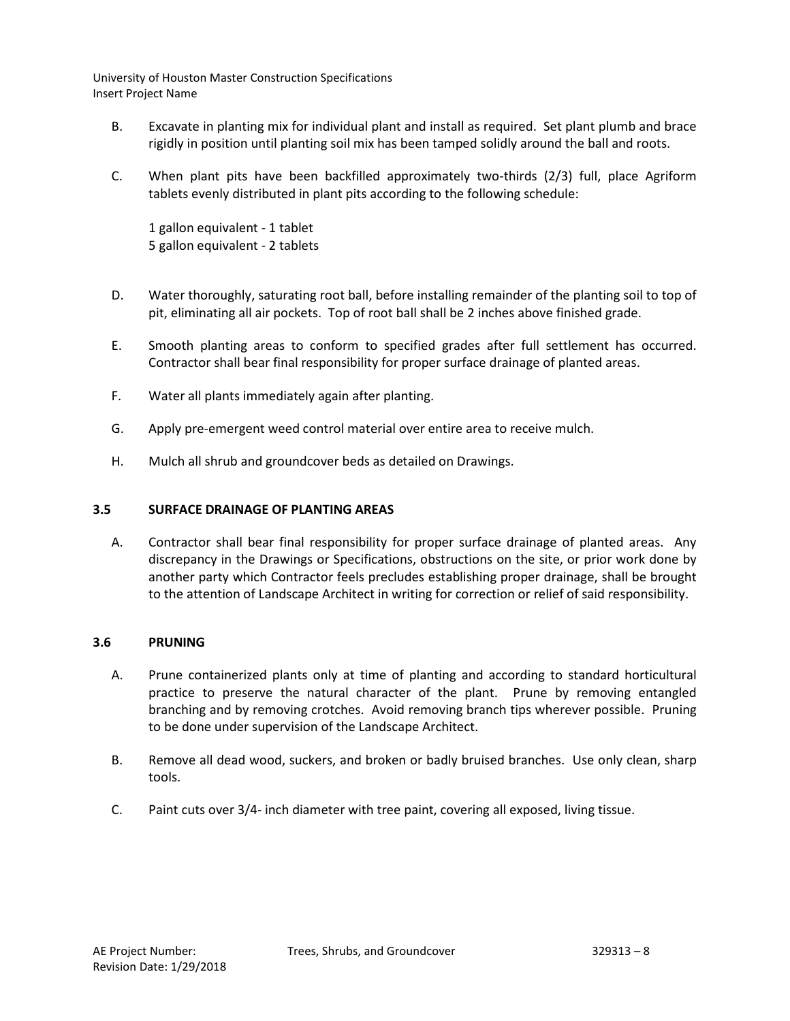- B. Excavate in planting mix for individual plant and install as required. Set plant plumb and brace rigidly in position until planting soil mix has been tamped solidly around the ball and roots.
- C. When plant pits have been backfilled approximately two-thirds (2/3) full, place Agriform tablets evenly distributed in plant pits according to the following schedule:

1 gallon equivalent - 1 tablet 5 gallon equivalent - 2 tablets

- D. Water thoroughly, saturating root ball, before installing remainder of the planting soil to top of pit, eliminating all air pockets. Top of root ball shall be 2 inches above finished grade.
- E. Smooth planting areas to conform to specified grades after full settlement has occurred. Contractor shall bear final responsibility for proper surface drainage of planted areas.
- F. Water all plants immediately again after planting.
- G. Apply pre-emergent weed control material over entire area to receive mulch.
- H. Mulch all shrub and groundcover beds as detailed on Drawings.

# **3.5 SURFACE DRAINAGE OF PLANTING AREAS**

A. Contractor shall bear final responsibility for proper surface drainage of planted areas. Any discrepancy in the Drawings or Specifications, obstructions on the site, or prior work done by another party which Contractor feels precludes establishing proper drainage, shall be brought to the attention of Landscape Architect in writing for correction or relief of said responsibility.

# **3.6 PRUNING**

- A. Prune containerized plants only at time of planting and according to standard horticultural practice to preserve the natural character of the plant. Prune by removing entangled branching and by removing crotches. Avoid removing branch tips wherever possible. Pruning to be done under supervision of the Landscape Architect.
- B. Remove all dead wood, suckers, and broken or badly bruised branches. Use only clean, sharp tools.
- C. Paint cuts over 3/4- inch diameter with tree paint, covering all exposed, living tissue.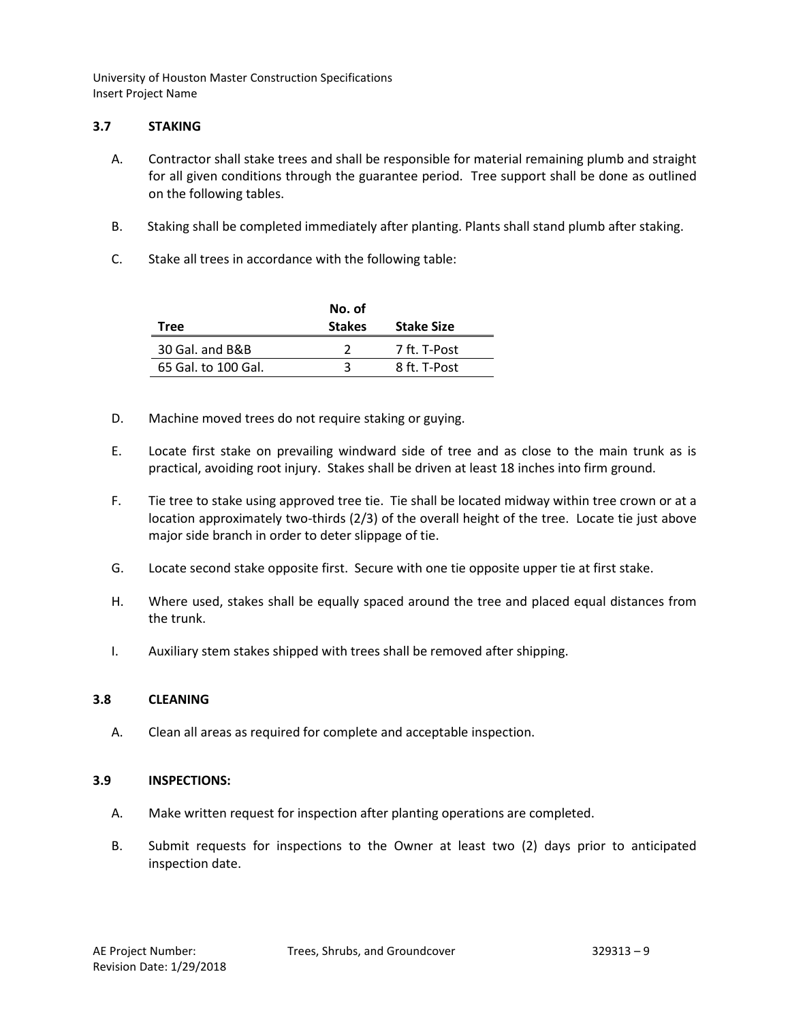## **3.7 STAKING**

- A. Contractor shall stake trees and shall be responsible for material remaining plumb and straight for all given conditions through the guarantee period. Tree support shall be done as outlined on the following tables.
- B. Staking shall be completed immediately after planting. Plants shall stand plumb after staking.
- C. Stake all trees in accordance with the following table:

|                     | No. of        |                   |
|---------------------|---------------|-------------------|
| Tree                | <b>Stakes</b> | <b>Stake Size</b> |
| 30 Gal. and B&B     |               | 7 ft. T-Post      |
| 65 Gal. to 100 Gal. |               | 8 ft. T-Post      |

- D. Machine moved trees do not require staking or guying.
- E. Locate first stake on prevailing windward side of tree and as close to the main trunk as is practical, avoiding root injury. Stakes shall be driven at least 18 inches into firm ground.
- F. Tie tree to stake using approved tree tie. Tie shall be located midway within tree crown or at a location approximately two-thirds (2/3) of the overall height of the tree. Locate tie just above major side branch in order to deter slippage of tie.
- G. Locate second stake opposite first. Secure with one tie opposite upper tie at first stake.
- H. Where used, stakes shall be equally spaced around the tree and placed equal distances from the trunk.
- I. Auxiliary stem stakes shipped with trees shall be removed after shipping.

# **3.8 CLEANING**

A. Clean all areas as required for complete and acceptable inspection.

# **3.9 INSPECTIONS:**

- A. Make written request for inspection after planting operations are completed.
- B. Submit requests for inspections to the Owner at least two (2) days prior to anticipated inspection date.